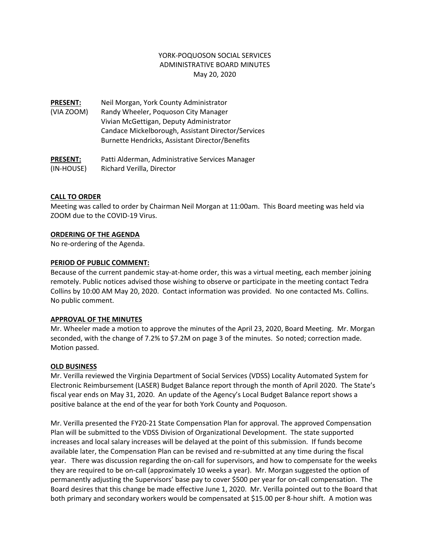### YORK‐POQUOSON SOCIAL SERVICES ADMINISTRATIVE BOARD MINUTES May 20, 2020

**PRESENT:** Neil Morgan, York County Administrator (VIA ZOOM) Randy Wheeler, Poquoson City Manager Vivian McGettigan, Deputy Administrator Candace Mickelborough, Assistant Director/Services Burnette Hendricks, Assistant Director/Benefits

**PRESENT:** Patti Alderman, Administrative Services Manager (IN‐HOUSE) Richard Verilla, Director

### **CALL TO ORDER**

Meeting was called to order by Chairman Neil Morgan at 11:00am. This Board meeting was held via ZOOM due to the COVID‐19 Virus.

### **ORDERING OF THE AGENDA**

No re‐ordering of the Agenda.

### **PERIOD OF PUBLIC COMMENT:**

Because of the current pandemic stay-at-home order, this was a virtual meeting, each member joining remotely. Public notices advised those wishing to observe or participate in the meeting contact Tedra Collins by 10:00 AM May 20, 2020. Contact information was provided. No one contacted Ms. Collins. No public comment.

#### **APPROVAL OF THE MINUTES**

Mr. Wheeler made a motion to approve the minutes of the April 23, 2020, Board Meeting. Mr. Morgan seconded, with the change of 7.2% to \$7.2M on page 3 of the minutes. So noted; correction made. Motion passed.

#### **OLD BUSINESS**

Mr. Verilla reviewed the Virginia Department of Social Services (VDSS) Locality Automated System for Electronic Reimbursement (LASER) Budget Balance report through the month of April 2020. The State's fiscal year ends on May 31, 2020. An update of the Agency's Local Budget Balance report shows a positive balance at the end of the year for both York County and Poquoson.

Mr. Verilla presented the FY20‐21 State Compensation Plan for approval. The approved Compensation Plan will be submitted to the VDSS Division of Organizational Development. The state supported increases and local salary increases will be delayed at the point of this submission. If funds become available later, the Compensation Plan can be revised and re‐submitted at any time during the fiscal year. There was discussion regarding the on‐call for supervisors, and how to compensate for the weeks they are required to be on‐call (approximately 10 weeks a year). Mr. Morgan suggested the option of permanently adjusting the Supervisors' base pay to cover \$500 per year for on-call compensation. The Board desires that this change be made effective June 1, 2020. Mr. Verilla pointed out to the Board that both primary and secondary workers would be compensated at \$15.00 per 8‐hour shift. A motion was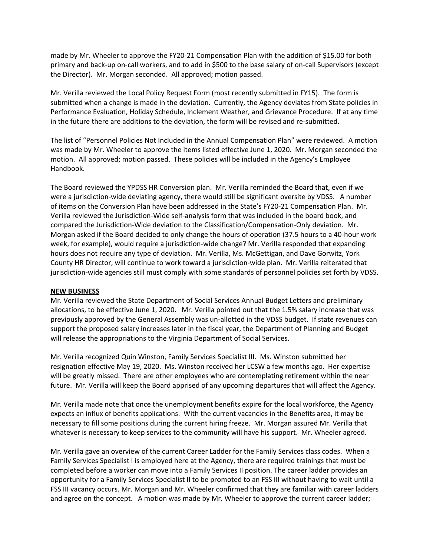made by Mr. Wheeler to approve the FY20‐21 Compensation Plan with the addition of \$15.00 for both primary and back‐up on‐call workers, and to add in \$500 to the base salary of on‐call Supervisors (except the Director). Mr. Morgan seconded. All approved; motion passed.

Mr. Verilla reviewed the Local Policy Request Form (most recently submitted in FY15). The form is submitted when a change is made in the deviation. Currently, the Agency deviates from State policies in Performance Evaluation, Holiday Schedule, Inclement Weather, and Grievance Procedure. If at any time in the future there are additions to the deviation, the form will be revised and re‐submitted.

The list of "Personnel Policies Not Included in the Annual Compensation Plan" were reviewed. A motion was made by Mr. Wheeler to approve the items listed effective June 1, 2020. Mr. Morgan seconded the motion. All approved; motion passed. These policies will be included in the Agency's Employee Handbook.

The Board reviewed the YPDSS HR Conversion plan. Mr. Verilla reminded the Board that, even if we were a jurisdiction-wide deviating agency, there would still be significant oversite by VDSS. A number of items on the Conversion Plan have been addressed in the State's FY20‐21 Compensation Plan. Mr. Verilla reviewed the Jurisdiction‐Wide self‐analysis form that was included in the board book, and compared the Jurisdiction‐Wide deviation to the Classification/Compensation‐Only deviation. Mr. Morgan asked if the Board decided to only change the hours of operation (37.5 hours to a 40‐hour work week, for example), would require a jurisdiction-wide change? Mr. Verilla responded that expanding hours does not require any type of deviation. Mr. Verilla, Ms. McGettigan, and Dave Gorwitz, York County HR Director, will continue to work toward a jurisdiction‐wide plan. Mr. Verilla reiterated that jurisdiction-wide agencies still must comply with some standards of personnel policies set forth by VDSS.

#### **NEW BUSINESS**

Mr. Verilla reviewed the State Department of Social Services Annual Budget Letters and preliminary allocations, to be effective June 1, 2020. Mr. Verilla pointed out that the 1.5% salary increase that was previously approved by the General Assembly was un-allotted in the VDSS budget. If state revenues can support the proposed salary increases later in the fiscal year, the Department of Planning and Budget will release the appropriations to the Virginia Department of Social Services.

Mr. Verilla recognized Quin Winston, Family Services Specialist III. Ms. Winston submitted her resignation effective May 19, 2020. Ms. Winston received her LCSW a few months ago. Her expertise will be greatly missed. There are other employees who are contemplating retirement within the near future. Mr. Verilla will keep the Board apprised of any upcoming departures that will affect the Agency.

Mr. Verilla made note that once the unemployment benefits expire for the local workforce, the Agency expects an influx of benefits applications. With the current vacancies in the Benefits area, it may be necessary to fill some positions during the current hiring freeze. Mr. Morgan assured Mr. Verilla that whatever is necessary to keep services to the community will have his support. Mr. Wheeler agreed.

Mr. Verilla gave an overview of the current Career Ladder for the Family Services class codes. When a Family Services Specialist I is employed here at the Agency, there are required trainings that must be completed before a worker can move into a Family Services II position. The career ladder provides an opportunity for a Family Services Specialist II to be promoted to an FSS III without having to wait until a FSS III vacancy occurs. Mr. Morgan and Mr. Wheeler confirmed that they are familiar with career ladders and agree on the concept. A motion was made by Mr. Wheeler to approve the current career ladder;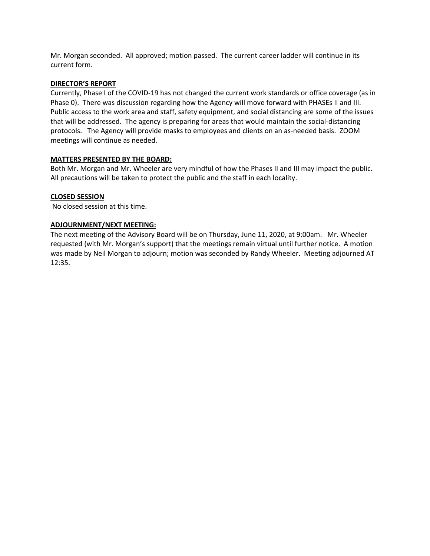Mr. Morgan seconded. All approved; motion passed. The current career ladder will continue in its current form.

### **DIRECTOR'S REPORT**

Currently, Phase I of the COVID‐19 has not changed the current work standards or office coverage (as in Phase 0). There was discussion regarding how the Agency will move forward with PHASEs II and III. Public access to the work area and staff, safety equipment, and social distancing are some of the issues that will be addressed. The agency is preparing for areas that would maintain the social‐distancing protocols. The Agency will provide masks to employees and clients on an as-needed basis. ZOOM meetings will continue as needed.

### **MATTERS PRESENTED BY THE BOARD:**

Both Mr. Morgan and Mr. Wheeler are very mindful of how the Phases II and III may impact the public. All precautions will be taken to protect the public and the staff in each locality.

### **CLOSED SESSION**

No closed session at this time.

### **ADJOURNMENT/NEXT MEETING:**

The next meeting of the Advisory Board will be on Thursday, June 11, 2020, at 9:00am. Mr. Wheeler requested (with Mr. Morgan's support) that the meetings remain virtual until further notice. A motion was made by Neil Morgan to adjourn; motion was seconded by Randy Wheeler. Meeting adjourned AT 12:35.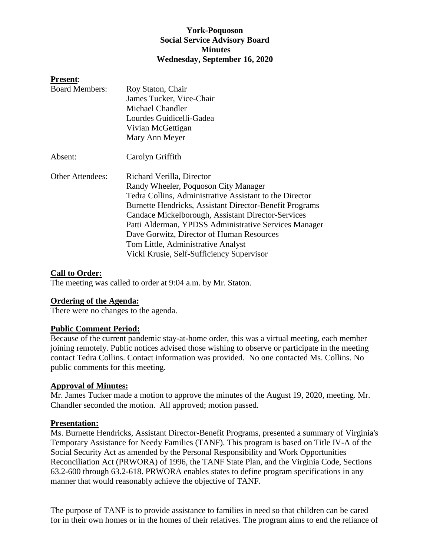# **York-Poquoson Social Service Advisory Board Minutes Wednesday, September 16, 2020**

### **Present**:

| <b>Board Members:</b>   | Roy Staton, Chair                                       |
|-------------------------|---------------------------------------------------------|
|                         | James Tucker, Vice-Chair                                |
|                         | Michael Chandler                                        |
|                         | Lourdes Guidicelli-Gadea                                |
|                         | Vivian McGettigan                                       |
|                         | Mary Ann Meyer                                          |
| Absent:                 | Carolyn Griffith                                        |
| <b>Other Attendees:</b> | Richard Verilla, Director                               |
|                         | Randy Wheeler, Poquoson City Manager                    |
|                         | Tedra Collins, Administrative Assistant to the Director |
|                         | Burnette Hendricks, Assistant Director-Benefit Programs |
|                         | Candace Mickelborough, Assistant Director-Services      |
|                         | Patti Alderman, YPDSS Administrative Services Manager   |
|                         | Dave Gorwitz, Director of Human Resources               |
|                         | Tom Little, Administrative Analyst                      |
|                         | Vicki Krusie, Self-Sufficiency Supervisor               |

### **Call to Order:**

The meeting was called to order at 9:04 a.m. by Mr. Staton.

### **Ordering of the Agenda:**

There were no changes to the agenda.

### **Public Comment Period:**

Because of the current pandemic stay-at-home order, this was a virtual meeting, each member joining remotely. Public notices advised those wishing to observe or participate in the meeting contact Tedra Collins. Contact information was provided. No one contacted Ms. Collins. No public comments for this meeting.

### **Approval of Minutes:**

Mr. James Tucker made a motion to approve the minutes of the August 19, 2020, meeting. Mr. Chandler seconded the motion. All approved; motion passed.

### **Presentation:**

Ms. Burnette Hendricks, Assistant Director-Benefit Programs, presented a summary of Virginia's Temporary Assistance for Needy Families (TANF). This program is based on Title IV-A of the Social Security Act as amended by the Personal Responsibility and Work Opportunities Reconciliation Act (PRWORA) of 1996, the TANF State Plan, and the Virginia Code, Sections 63.2-600 through 63.2-618. PRWORA enables states to define program specifications in any manner that would reasonably achieve the objective of TANF.

The purpose of TANF is to provide assistance to families in need so that children can be cared for in their own homes or in the homes of their relatives. The program aims to end the reliance of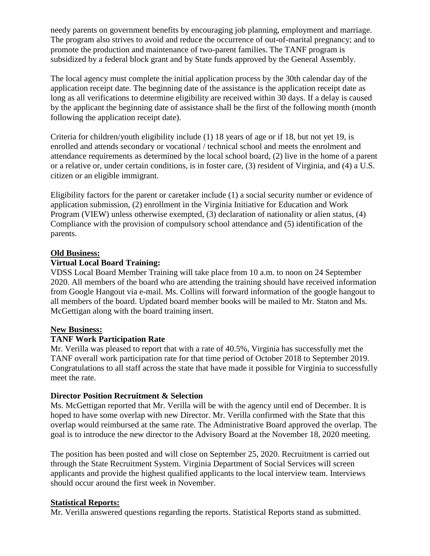needy parents on government benefits by encouraging job planning, employment and marriage. The program also strives to avoid and reduce the occurrence of out-of-marital pregnancy; and to promote the production and maintenance of two-parent families. The TANF program is subsidized by a federal block grant and by State funds approved by the General Assembly.

The local agency must complete the initial application process by the 30th calendar day of the application receipt date. The beginning date of the assistance is the application receipt date as long as all verifications to determine eligibility are received within 30 days. If a delay is caused by the applicant the beginning date of assistance shall be the first of the following month (month following the application receipt date).

Criteria for children/youth eligibility include (1) 18 years of age or if 18, but not yet 19, is enrolled and attends secondary or vocational / technical school and meets the enrolment and attendance requirements as determined by the local school board, (2) live in the home of a parent or a relative or, under certain conditions, is in foster care, (3) resident of Virginia, and (4) a U.S. citizen or an eligible immigrant.

Eligibility factors for the parent or caretaker include (1) a social security number or evidence of application submission, (2) enrollment in the Virginia Initiative for Education and Work Program (VIEW) unless otherwise exempted, (3) declaration of nationality or alien status, (4) Compliance with the provision of compulsory school attendance and (5) identification of the parents.

# **Old Business:**

# **Virtual Local Board Training:**

VDSS Local Board Member Training will take place from 10 a.m. to noon on 24 September 2020. All members of the board who are attending the training should have received information from Google Hangout via e-mail. Ms. Collins will forward information of the google hangout to all members of the board. Updated board member books will be mailed to Mr. Staton and Ms. McGettigan along with the board training insert.

# **New Business:**

# **TANF Work Participation Rate**

Mr. Verilla was pleased to report that with a rate of 40.5%, Virginia has successfully met the TANF overall work participation rate for that time period of October 2018 to September 2019. Congratulations to all staff across the state that have made it possible for Virginia to successfully meet the rate.

# **Director Position Recruitment & Selection**

Ms. McGettigan reported that Mr. Verilla will be with the agency until end of December. It is hoped to have some overlap with new Director. Mr. Verilla confirmed with the State that this overlap would reimbursed at the same rate. The Administrative Board approved the overlap. The goal is to introduce the new director to the Advisory Board at the November 18, 2020 meeting.

The position has been posted and will close on September 25, 2020. Recruitment is carried out through the State Recruitment System. Virginia Department of Social Services will screen applicants and provide the highest qualified applicants to the local interview team. Interviews should occur around the first week in November.

# **Statistical Reports:**

Mr. Verilla answered questions regarding the reports. Statistical Reports stand as submitted.